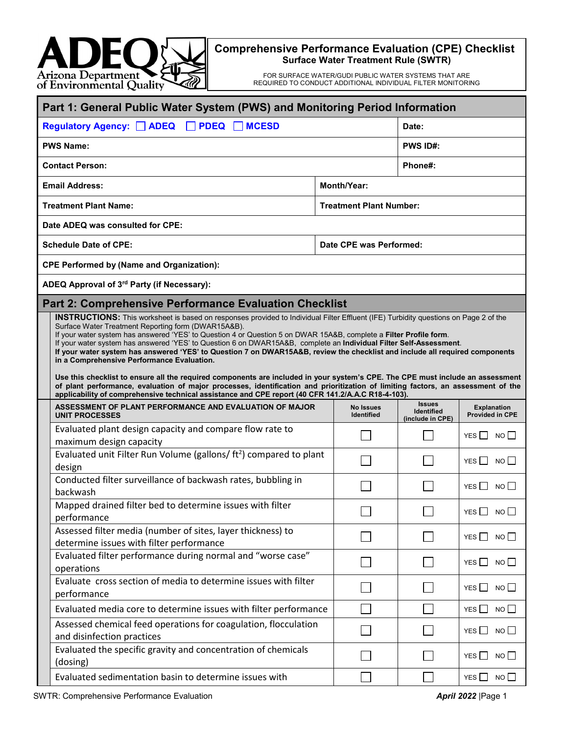

## **Comprehensive Performance Evaluation (CPE) Checklist Surface Water Treatment Rule (SWTR)**

FOR SURFACE WATER/GUDI PUBLIC WATER SYSTEMS THAT ARE REQUIRED TO CONDUCT ADDITIONAL INDIVIDUAL FILTER MONITORING

|                                                        | Part 1: General Public Water System (PWS) and Monitoring Period Information                                                                                                                                                                                                                                                                                                                                                                                                                                                                                                                                                                                                                                                                                                                                                                                                                                                                                                                              |                                |                                                 |                                       |  |  |
|--------------------------------------------------------|----------------------------------------------------------------------------------------------------------------------------------------------------------------------------------------------------------------------------------------------------------------------------------------------------------------------------------------------------------------------------------------------------------------------------------------------------------------------------------------------------------------------------------------------------------------------------------------------------------------------------------------------------------------------------------------------------------------------------------------------------------------------------------------------------------------------------------------------------------------------------------------------------------------------------------------------------------------------------------------------------------|--------------------------------|-------------------------------------------------|---------------------------------------|--|--|
| <b>MCESD</b><br>Regulatory Agency: ADEQ<br><b>PDEQ</b> |                                                                                                                                                                                                                                                                                                                                                                                                                                                                                                                                                                                                                                                                                                                                                                                                                                                                                                                                                                                                          |                                |                                                 | Date:                                 |  |  |
| <b>PWS Name:</b>                                       |                                                                                                                                                                                                                                                                                                                                                                                                                                                                                                                                                                                                                                                                                                                                                                                                                                                                                                                                                                                                          |                                |                                                 | <b>PWS ID#:</b>                       |  |  |
| <b>Contact Person:</b>                                 |                                                                                                                                                                                                                                                                                                                                                                                                                                                                                                                                                                                                                                                                                                                                                                                                                                                                                                                                                                                                          |                                | Phone#:                                         |                                       |  |  |
|                                                        | <b>Email Address:</b>                                                                                                                                                                                                                                                                                                                                                                                                                                                                                                                                                                                                                                                                                                                                                                                                                                                                                                                                                                                    | <b>Month/Year:</b>             |                                                 |                                       |  |  |
| <b>Treatment Plant Name:</b>                           |                                                                                                                                                                                                                                                                                                                                                                                                                                                                                                                                                                                                                                                                                                                                                                                                                                                                                                                                                                                                          |                                | <b>Treatment Plant Number:</b>                  |                                       |  |  |
|                                                        | Date ADEQ was consulted for CPE:                                                                                                                                                                                                                                                                                                                                                                                                                                                                                                                                                                                                                                                                                                                                                                                                                                                                                                                                                                         |                                |                                                 |                                       |  |  |
|                                                        | <b>Schedule Date of CPE:</b>                                                                                                                                                                                                                                                                                                                                                                                                                                                                                                                                                                                                                                                                                                                                                                                                                                                                                                                                                                             | Date CPE was Performed:        |                                                 |                                       |  |  |
|                                                        | <b>CPE Performed by (Name and Organization):</b>                                                                                                                                                                                                                                                                                                                                                                                                                                                                                                                                                                                                                                                                                                                                                                                                                                                                                                                                                         |                                |                                                 |                                       |  |  |
|                                                        | ADEQ Approval of 3rd Party (if Necessary):                                                                                                                                                                                                                                                                                                                                                                                                                                                                                                                                                                                                                                                                                                                                                                                                                                                                                                                                                               |                                |                                                 |                                       |  |  |
|                                                        | <b>Part 2: Comprehensive Performance Evaluation Checklist</b>                                                                                                                                                                                                                                                                                                                                                                                                                                                                                                                                                                                                                                                                                                                                                                                                                                                                                                                                            |                                |                                                 |                                       |  |  |
|                                                        | <b>INSTRUCTIONS:</b> This worksheet is based on responses provided to Individual Filter Effluent (IFE) Turbidity questions on Page 2 of the<br>Surface Water Treatment Reporting form (DWAR15A&B).<br>If your water system has answered 'YES' to Question 4 or Question 5 on DWAR 15A&B, complete a Filter Profile form.<br>If your water system has answered 'YES' to Question 6 on DWAR15A&B, complete an Individual Filter Self-Assessment.<br>If your water system has answered 'YES' to Question 7 on DWAR15A&B, review the checklist and include all required components<br>in a Comprehensive Performance Evaluation.<br>Use this checklist to ensure all the required components are included in your system's CPE. The CPE must include an assessment<br>of plant performance, evaluation of major processes, identification and prioritization of limiting factors, an assessment of the<br>applicability of comprehensive technical assistance and CPE report (40 CFR 141.2/A.A.C R18-4-103). |                                |                                                 |                                       |  |  |
|                                                        | ASSESSMENT OF PLANT PERFORMANCE AND EVALUATION OF MAJOR<br><b>UNIT PROCESSES</b>                                                                                                                                                                                                                                                                                                                                                                                                                                                                                                                                                                                                                                                                                                                                                                                                                                                                                                                         | <b>No Issues</b><br>Identified | <b>Issues</b><br>Identified<br>(include in CPE) | <b>Explanation</b><br>Provided in CPE |  |  |
|                                                        | Evaluated plant design capacity and compare flow rate to<br>maximum design capacity                                                                                                                                                                                                                                                                                                                                                                                                                                                                                                                                                                                                                                                                                                                                                                                                                                                                                                                      |                                |                                                 | YES <sub>N</sub> NO                   |  |  |
|                                                        | Evaluated unit Filter Run Volume (gallons/ ft <sup>2</sup> ) compared to plant                                                                                                                                                                                                                                                                                                                                                                                                                                                                                                                                                                                                                                                                                                                                                                                                                                                                                                                           |                                |                                                 |                                       |  |  |
|                                                        | design                                                                                                                                                                                                                                                                                                                                                                                                                                                                                                                                                                                                                                                                                                                                                                                                                                                                                                                                                                                                   |                                |                                                 | $YES \nightharpoonup NO$              |  |  |
|                                                        | Conducted filter surveillance of backwash rates, bubbling in<br>backwash                                                                                                                                                                                                                                                                                                                                                                                                                                                                                                                                                                                                                                                                                                                                                                                                                                                                                                                                 |                                |                                                 | YES $\Box$<br>NO                      |  |  |
|                                                        | Mapped drained filter bed to determine issues with filter<br>performance                                                                                                                                                                                                                                                                                                                                                                                                                                                                                                                                                                                                                                                                                                                                                                                                                                                                                                                                 |                                |                                                 | YES $\Box$<br>NO                      |  |  |
|                                                        | Assessed filter media (number of sites, layer thickness) to<br>determine issues with filter performance                                                                                                                                                                                                                                                                                                                                                                                                                                                                                                                                                                                                                                                                                                                                                                                                                                                                                                  |                                |                                                 | YES<br>$NO$ $\Box$                    |  |  |
|                                                        | Evaluated filter performance during normal and "worse case"<br>operations                                                                                                                                                                                                                                                                                                                                                                                                                                                                                                                                                                                                                                                                                                                                                                                                                                                                                                                                |                                |                                                 | YES $\Box$<br>NO <sub>1</sub>         |  |  |
|                                                        | Evaluate cross section of media to determine issues with filter<br>performance                                                                                                                                                                                                                                                                                                                                                                                                                                                                                                                                                                                                                                                                                                                                                                                                                                                                                                                           |                                |                                                 | NO<br>YES I                           |  |  |
|                                                        |                                                                                                                                                                                                                                                                                                                                                                                                                                                                                                                                                                                                                                                                                                                                                                                                                                                                                                                                                                                                          |                                |                                                 |                                       |  |  |
|                                                        | Evaluated media core to determine issues with filter performance                                                                                                                                                                                                                                                                                                                                                                                                                                                                                                                                                                                                                                                                                                                                                                                                                                                                                                                                         |                                |                                                 | NO<br>YES I                           |  |  |
|                                                        | Assessed chemical feed operations for coagulation, flocculation<br>and disinfection practices                                                                                                                                                                                                                                                                                                                                                                                                                                                                                                                                                                                                                                                                                                                                                                                                                                                                                                            |                                |                                                 | NO<br>YES                             |  |  |
|                                                        | Evaluated the specific gravity and concentration of chemicals<br>(dosing)                                                                                                                                                                                                                                                                                                                                                                                                                                                                                                                                                                                                                                                                                                                                                                                                                                                                                                                                |                                |                                                 | NO<br>YES                             |  |  |